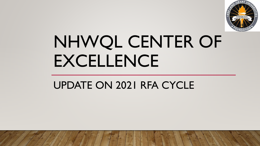

# NHWQL CENTER OF EXCELLENCE

## UPDATE ON 2021 RFA CYCLE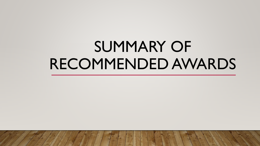## SUMMARY OF RECOMMENDED AWARDS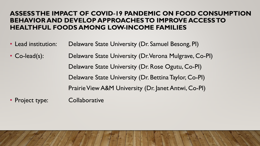#### **ASSESS THE IMPACT OF COVID**‐**19 PANDEMIC ON FOOD CONSUMPTION BEHAVIOR AND DEVELOP APPROACHES TO IMPROVE ACCESS TO HEALTHFUL FOODS AMONG LOW-INCOME FAMILIES**

- Lead institution: Delaware State University (Dr. Samuel Besong, PI)
- Co-lead(s): Delaware State University (Dr. Verona Mulgrave, Co-PI) Delaware State University (Dr. Rose Ogutu, Co-PI) Delaware State University (Dr. Bettina Taylor, Co-PI) Prairie View A&M University (Dr. Janet Antwi, Co-PI)
- Project type: Collaborative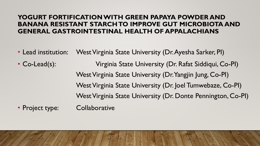#### **YOGURT FORTIFICATION WITH GREEN PAPAYA POWDER AND BANANA RESISTANT STARCH TO IMPROVE GUT MICROBIOTA AND GENERAL GASTROINTESTINAL HEALTH OF APPALACHIANS**

- Lead institution: West Virginia State University (Dr. Ayesha Sarker, PI)
- Co-Lead(s): Virginia State University (Dr. Rafat Siddiqui, Co-PI) West Virginia State University (Dr. Yangjin Jung, Co-PI) West Virginia State University (Dr. Joel Tumwebaze, Co-PI) West Virginia State University (Dr. Donte Pennington, Co-PI)
- Project type: Collaborative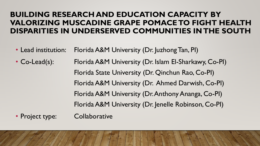#### **BUILDING RESEARCH AND EDUCATION CAPACITY BY VALORIZING MUSCADINE GRAPE POMACE TO FIGHT HEALTH DISPARITIES IN UNDERSERVED COMMUNITIES IN THE SOUTH**

• Lead institution: Florida A&M University (Dr. Juzhong Tan, PI)

• Co-Lead(s): Florida A&M University (Dr. Islam El-Sharkawy, Co-PI) Florida State University (Dr. Qinchun Rao, Co-PI) Florida A&M University (Dr. Ahmed Darwish, Co-PI) Florida A&M University (Dr. Anthony Ananga, Co-PI) Florida A&M University (Dr. Jenelle Robinson, Co-PI)

• Project type: Collaborative